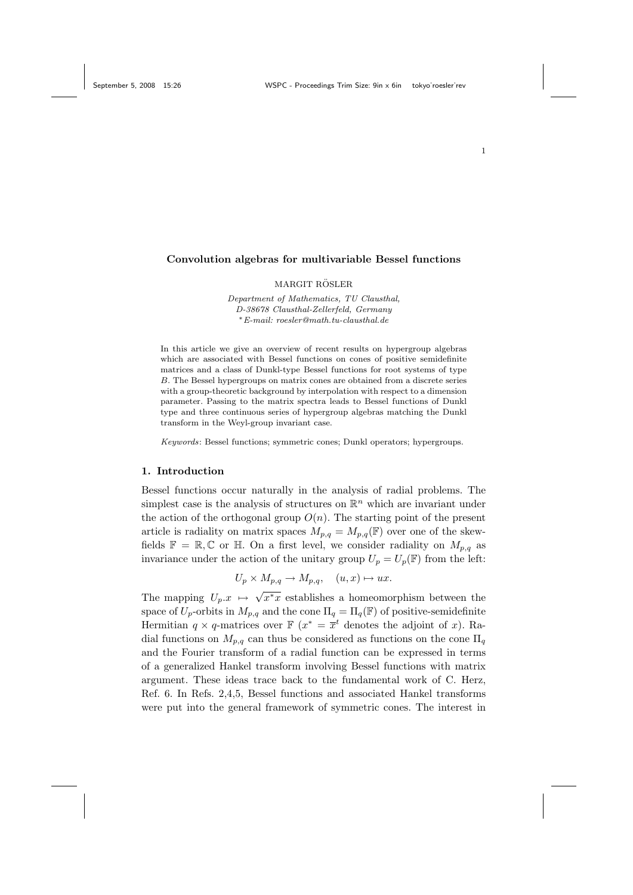### Convolution algebras for multivariable Bessel functions

#### MARGIT RÖSLER

Department of Mathematics, TU Clausthal, D-38678 Clausthal-Zellerfeld, Germany <sup>∗</sup>E-mail: roesler@math.tu-clausthal.de

In this article we give an overview of recent results on hypergroup algebras which are associated with Bessel functions on cones of positive semidefinite matrices and a class of Dunkl-type Bessel functions for root systems of type B. The Bessel hypergroups on matrix cones are obtained from a discrete series with a group-theoretic background by interpolation with respect to a dimension parameter. Passing to the matrix spectra leads to Bessel functions of Dunkl type and three continuous series of hypergroup algebras matching the Dunkl transform in the Weyl-group invariant case.

Keywords: Bessel functions; symmetric cones; Dunkl operators; hypergroups.

### 1. Introduction

Bessel functions occur naturally in the analysis of radial problems. The simplest case is the analysis of structures on  $\mathbb{R}^n$  which are invariant under the action of the orthogonal group  $O(n)$ . The starting point of the present article is radiality on matrix spaces  $M_{p,q} = M_{p,q}(\mathbb{F})$  over one of the skewfields  $\mathbb{F} = \mathbb{R}, \mathbb{C}$  or  $\mathbb{H}$ . On a first level, we consider radiality on  $M_{p,q}$  as invariance under the action of the unitary group  $U_p = U_p(\mathbb{F})$  from the left:

$$
U_p \times M_{p,q} \to M_{p,q}, \quad (u,x) \mapsto ux.
$$

The mapping  $U_p.x \mapsto$  $\overline{x^*x}$  establishes a homeomorphism between the space of  $U_p$ -orbits in  $M_{p,q}$  and the cone  $\Pi_q = \Pi_q(\mathbb{F})$  of positive-semidefinite Hermitian  $q \times q$ -matrices over  $\mathbb{F} (x^* = \overline{x}^t$  denotes the adjoint of x). Radial functions on  $M_{p,q}$  can thus be considered as functions on the cone  $\Pi_q$ and the Fourier transform of a radial function can be expressed in terms of a generalized Hankel transform involving Bessel functions with matrix argument. These ideas trace back to the fundamental work of C. Herz, Ref. 6. In Refs. 2,4,5, Bessel functions and associated Hankel transforms were put into the general framework of symmetric cones. The interest in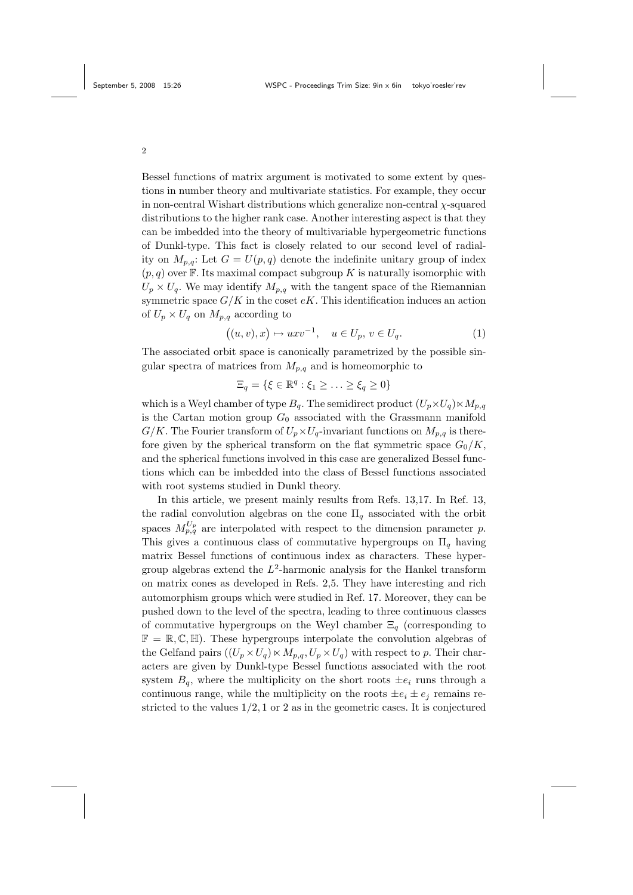Bessel functions of matrix argument is motivated to some extent by questions in number theory and multivariate statistics. For example, they occur in non-central Wishart distributions which generalize non-central  $\chi$ -squared distributions to the higher rank case. Another interesting aspect is that they can be imbedded into the theory of multivariable hypergeometric functions of Dunkl-type. This fact is closely related to our second level of radiality on  $M_{p,q}$ : Let  $G = U(p,q)$  denote the indefinite unitary group of index  $(p, q)$  over F. Its maximal compact subgroup K is naturally isomorphic with  $U_p \times U_q$ . We may identify  $M_{p,q}$  with the tangent space of the Riemannian symmetric space  $G/K$  in the coset  $eK$ . This identification induces an action of  $U_p \times U_q$  on  $M_{p,q}$  according to

$$
((u, v), x) \mapsto uxv^{-1}, \quad u \in U_p, v \in U_q.
$$
 (1)

The associated orbit space is canonically parametrized by the possible singular spectra of matrices from  $M_{p,q}$  and is homeomorphic to

$$
\Xi_q = \{ \xi \in \mathbb{R}^q : \xi_1 \geq \ldots \geq \xi_q \geq 0 \}
$$

which is a Weyl chamber of type  $B_q$ . The semidirect product  $(U_p \times U_q) \times M_{p,q}$ is the Cartan motion group  $G_0$  associated with the Grassmann manifold  $G/K$ . The Fourier transform of  $U_p \times U_q$ -invariant functions on  $M_{p,q}$  is therefore given by the spherical transform on the flat symmetric space  $G_0/K$ , and the spherical functions involved in this case are generalized Bessel functions which can be imbedded into the class of Bessel functions associated with root systems studied in Dunkl theory.

In this article, we present mainly results from Refs. 13,17. In Ref. 13, the radial convolution algebras on the cone  $\Pi_q$  associated with the orbit spaces  $M_{p,q}^{U_p}$  are interpolated with respect to the dimension parameter p. This gives a continuous class of commutative hypergroups on  $\Pi_q$  having matrix Bessel functions of continuous index as characters. These hypergroup algebras extend the  $L^2$ -harmonic analysis for the Hankel transform on matrix cones as developed in Refs. 2,5. They have interesting and rich automorphism groups which were studied in Ref. 17. Moreover, they can be pushed down to the level of the spectra, leading to three continuous classes of commutative hypergroups on the Weyl chamber  $\Xi_q$  (corresponding to  $\mathbb{F} = \mathbb{R}, \mathbb{C}, \mathbb{H}$ . These hypergroups interpolate the convolution algebras of the Gelfand pairs  $((U_p \times U_q) \times M_{p,q}, U_p \times U_q)$  with respect to p. Their characters are given by Dunkl-type Bessel functions associated with the root system  $B_q$ , where the multiplicity on the short roots  $\pm e_i$  runs through a continuous range, while the multiplicity on the roots  $\pm e_i \pm e_j$  remains restricted to the values  $1/2$ , 1 or 2 as in the geometric cases. It is conjectured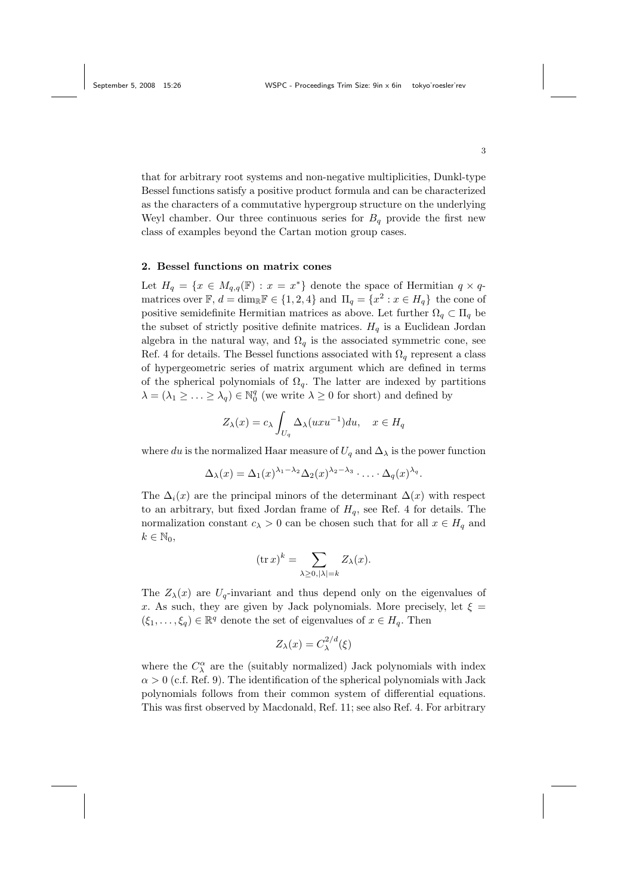that for arbitrary root systems and non-negative multiplicities, Dunkl-type Bessel functions satisfy a positive product formula and can be characterized as the characters of a commutative hypergroup structure on the underlying Weyl chamber. Our three continuous series for  $B<sub>q</sub>$  provide the first new class of examples beyond the Cartan motion group cases.

### 2. Bessel functions on matrix cones

Let  $H_q = \{x \in M_{q,q}(\mathbb{F}) : x = x^*\}\)$  denote the space of Hermitian  $q \times q$ matrices over  $\mathbb{F}$ ,  $d = \dim_{\mathbb{R}} \mathbb{F} \in \{1, 2, 4\}$  and  $\Pi_q = \{x^2 : x \in H_q\}$  the cone of positive semidefinite Hermitian matrices as above. Let further  $\Omega_q \subset \Pi_q$  be the subset of strictly positive definite matrices.  $H_q$  is a Euclidean Jordan algebra in the natural way, and  $\Omega_q$  is the associated symmetric cone, see Ref. 4 for details. The Bessel functions associated with  $\Omega_q$  represent a class of hypergeometric series of matrix argument which are defined in terms of the spherical polynomials of  $\Omega_q$ . The latter are indexed by partitions  $\lambda = (\lambda_1 \geq \ldots \geq \lambda_q) \in \mathbb{N}_0^q$  (we write  $\lambda \geq 0$  for short) and defined by

$$
Z_{\lambda}(x) = c_{\lambda} \int_{U_q} \Delta_{\lambda}(uxu^{-1}) du, \quad x \in H_q
$$

where du is the normalized Haar measure of  $U_q$  and  $\Delta_\lambda$  is the power function

$$
\Delta_{\lambda}(x) = \Delta_1(x)^{\lambda_1 - \lambda_2} \Delta_2(x)^{\lambda_2 - \lambda_3} \cdot \ldots \cdot \Delta_q(x)^{\lambda_q}.
$$

The  $\Delta_i(x)$  are the principal minors of the determinant  $\Delta(x)$  with respect to an arbitrary, but fixed Jordan frame of  $H_q$ , see Ref. 4 for details. The normalization constant  $c_{\lambda} > 0$  can be chosen such that for all  $x \in H_q$  and  $k \in \mathbb{N}_0$ ,

$$
(\operatorname{tr} x)^k = \sum_{\lambda \ge 0, |\lambda| = k} Z_{\lambda}(x).
$$

The  $Z_{\lambda}(x)$  are  $U_q$ -invariant and thus depend only on the eigenvalues of x. As such, they are given by Jack polynomials. More precisely, let  $\xi$  =  $(\xi_1,\ldots,\xi_q)\in\mathbb{R}^q$  denote the set of eigenvalues of  $x\in H_q$ . Then

$$
Z_{\lambda}(x) = C_{\lambda}^{2/d}(\xi)
$$

where the  $C^{\alpha}_{\lambda}$  are the (suitably normalized) Jack polynomials with index  $\alpha > 0$  (c.f. Ref. 9). The identification of the spherical polynomials with Jack polynomials follows from their common system of differential equations. This was first observed by Macdonald, Ref. 11; see also Ref. 4. For arbitrary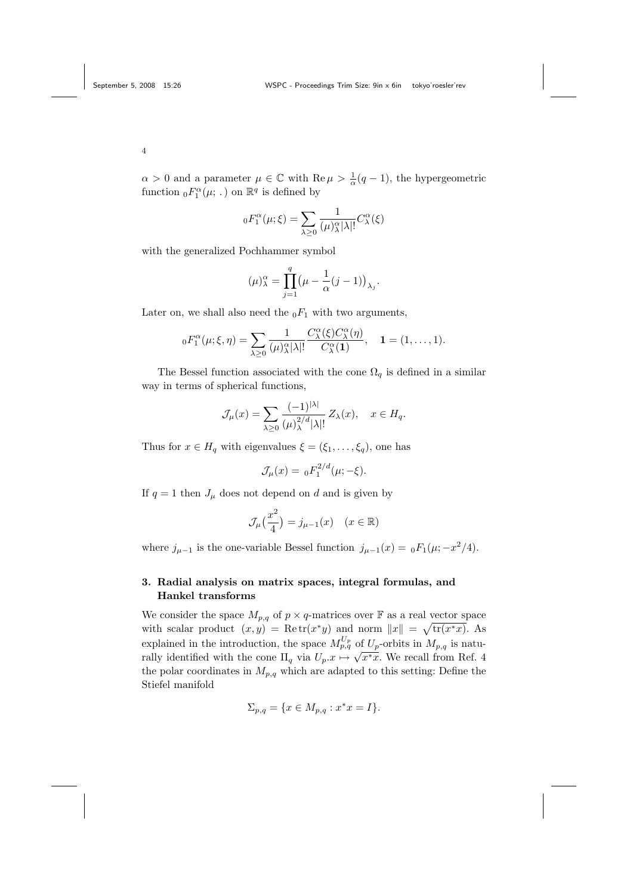$\alpha > 0$  and a parameter  $\mu \in \mathbb{C}$  with  $\text{Re}\,\mu > \frac{1}{\alpha}(q-1)$ , the hypergeometric function  ${}_0F_1^{\alpha}(\mu; .)$  on  $\mathbb{R}^q$  is defined by

$$
{}_{0}F_{1}^{\alpha}(\mu;\xi) = \sum_{\lambda \geq 0} \frac{1}{(\mu)_{\lambda}^{\alpha}|\lambda|!} C_{\lambda}^{\alpha}(\xi)
$$

with the generalized Pochhammer symbol

$$
(\mu)^\alpha_\lambda = \prod_{j=1}^q \left(\mu - \frac{1}{\alpha}(j-1)\right)_{\lambda_j}.
$$

Later on, we shall also need the  $_0F_1$  with two arguments,

$$
{}_{0}F_{1}^{\alpha}(\mu;\xi,\eta)=\sum_{\lambda\geq 0}\frac{1}{(\mu)_{\lambda}^{\alpha}|\lambda|!}\frac{C_{\lambda}^{\alpha}(\xi)C_{\lambda}^{\alpha}(\eta)}{C_{\lambda}^{\alpha}(\mathbf{1})},\quad \mathbf{1}=(1,\ldots,1).
$$

The Bessel function associated with the cone  $\Omega_q$  is defined in a similar way in terms of spherical functions,

$$
\mathcal{J}_{\mu}(x) = \sum_{\lambda \ge 0} \frac{(-1)^{|\lambda|}}{(\mu)_{\lambda}^{2/d} |\lambda|!} Z_{\lambda}(x), \quad x \in H_q.
$$

Thus for  $x \in H_q$  with eigenvalues  $\xi = (\xi_1, \ldots, \xi_q)$ , one has

$$
\mathcal{J}_{\mu}(x) = {}_0F_1^{2/d}(\mu; -\xi).
$$

If  $q = 1$  then  $J_{\mu}$  does not depend on d and is given by

$$
\mathcal{J}_{\mu}\left(\frac{x^2}{4}\right) = j_{\mu-1}(x) \quad (x \in \mathbb{R})
$$

where  $j_{\mu-1}$  is the one-variable Bessel function  $j_{\mu-1}(x) = {}_0F_1(\mu; -x^2/4)$ .

# 3. Radial analysis on matrix spaces, integral formulas, and Hankel transforms

We consider the space  $M_{p,q}$  of  $p \times q$ -matrices over **F** as a real vector space with scalar product  $(x, y) = \text{Re } \text{tr}(x^*y)$  and norm  $||x|| = \sqrt{\text{tr}(x^*x)}$ . As explained in the introduction, the space  $M_{p,q}^{U_p}$  of  $U_p$ -orbits in  $M_{p,q}$  is naturally identified with the cone  $\Pi_q$  via  $U_p.x \mapsto$ √  $\overline{x^*x}$ . We recall from Ref. 4 the polar coordinates in  $M_{p,q}$  which are adapted to this setting: Define the Stiefel manifold

$$
\Sigma_{p,q} = \{ x \in M_{p,q} : x^*x = I \}.
$$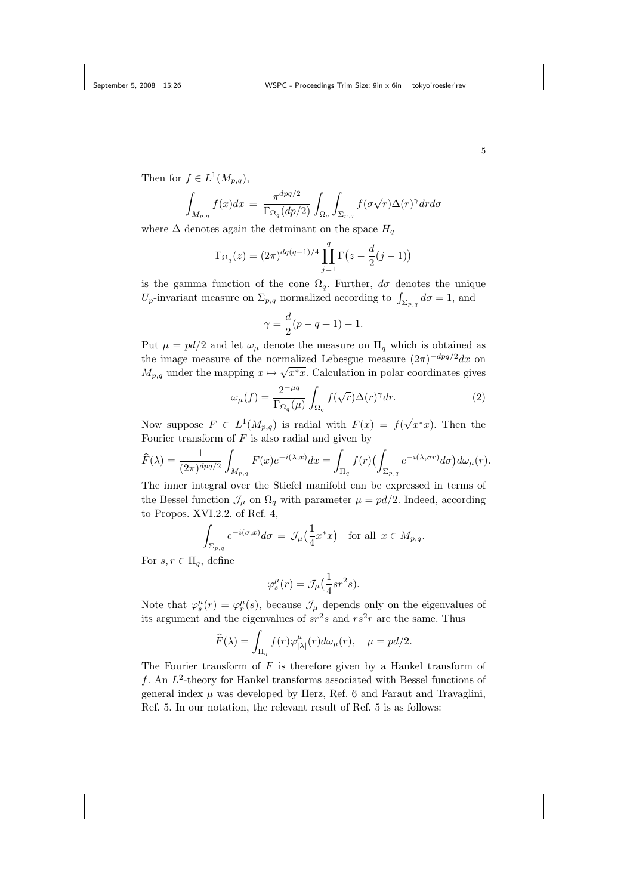Then for  $f \in L^1(M_{p,q}),$ 

$$
\int_{M_{p,q}} f(x)dx = \frac{\pi^{dpq/2}}{\Gamma_{\Omega_q}(dp/2)} \int_{\Omega_q} \int_{\Sigma_{p,q}} f(\sigma\sqrt{r})\Delta(r)^{\gamma} dr d\sigma
$$

where  $\Delta$  denotes again the detminant on the space  $H_q$ 

$$
\Gamma_{\Omega_q}(z) = (2\pi)^{dq(q-1)/4} \prod_{j=1}^q \Gamma(z - \frac{d}{2}(j-1))
$$

is the gamma function of the cone  $\Omega_q$ . Further,  $d\sigma$  denotes the unique  $U_p$ -invariant measure on  $\Sigma_{p,q}$  normalized according to  $\int_{\Sigma_{p,q}} d\sigma = 1$ , and

$$
\gamma = \frac{d}{2}(p - q + 1) - 1.
$$

Put  $\mu = pd/2$  and let  $\omega_{\mu}$  denote the measure on  $\Pi_{q}$  which is obtained as the image measure of the normalized Lebesgue measure  $(2\pi)^{-dpq/2}dx$  on  $M_{p,q}$  under the mapping  $x \mapsto \sqrt{x^*x}$ . Calculation in polar coordinates gives

$$
\omega_{\mu}(f) = \frac{2^{-\mu q}}{\Gamma_{\Omega_q}(\mu)} \int_{\Omega_q} f(\sqrt{r}) \Delta(r)^{\gamma} dr.
$$
\n(2)

Now suppose  $F \in L^1(M_{p,q})$  is radial with  $F(x) = f(x)$  $\overline{x^*x}$ ). Then the Fourier transform of  $F$  is also radial and given by

$$
\widehat{F}(\lambda) = \frac{1}{(2\pi)^{dpq/2}} \int_{M_{p,q}} F(x) e^{-i(\lambda,x)} dx = \int_{\Pi_q} f(r) \left( \int_{\Sigma_{p,q}} e^{-i(\lambda,\sigma r)} d\sigma \right) d\omega_{\mu}(r).
$$

The inner integral over the Stiefel manifold can be expressed in terms of the Bessel function  $\mathcal{J}_{\mu}$  on  $\Omega_{q}$  with parameter  $\mu = pd/2$ . Indeed, according to Propos. XVI.2.2. of Ref. 4,

$$
\int_{\Sigma_{p,q}} e^{-i(\sigma,x)} d\sigma = \mathcal{J}_{\mu}(\frac{1}{4}x^*x) \text{ for all } x \in M_{p,q}.
$$

For  $s, r \in \Pi_q$ , define

$$
\varphi_s^{\mu}(r) = \mathcal{J}_{\mu}\left(\frac{1}{4}sr^2s\right).
$$

Note that  $\varphi_s^{\mu}(r) = \varphi_r^{\mu}(s)$ , because  $\mathcal{J}_{\mu}$  depends only on the eigenvalues of its argument and the eigenvalues of  $sr^2s$  and  $rs^2r$  are the same. Thus

$$
\widehat{F}(\lambda) = \int_{\Pi_q} f(r) \varphi_{|\lambda|}^{\mu}(r) d\omega_{\mu}(r), \quad \mu = pd/2.
$$

The Fourier transform of  $F$  is therefore given by a Hankel transform of  $f$ . An  $L^2$ -theory for Hankel transforms associated with Bessel functions of general index  $\mu$  was developed by Herz, Ref. 6 and Faraut and Travaglini, Ref. 5. In our notation, the relevant result of Ref. 5 is as follows:

5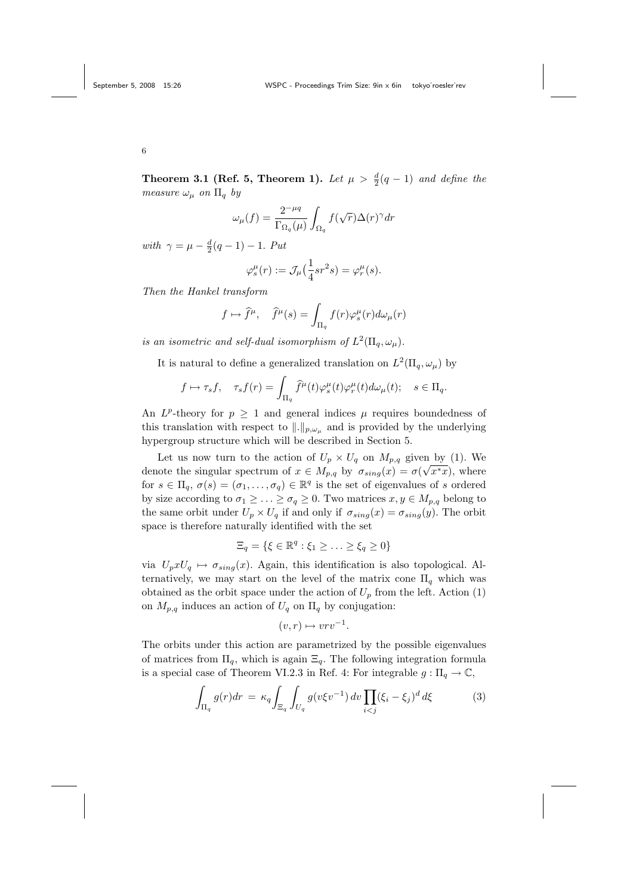**Theorem 3.1 (Ref. 5, Theorem 1).** Let  $\mu > \frac{d}{2}(q-1)$  and define the measure  $\omega_{\mu}$  on  $\Pi_q$  by

$$
\omega_{\mu}(f) = \frac{2^{-\mu q}}{\Gamma_{\Omega_q}(\mu)} \int_{\Omega_q} f(\sqrt{r}) \Delta(r)^{\gamma} dr
$$

with  $\gamma = \mu - \frac{d}{2}(q - 1) - 1$ . Put

$$
\varphi_s^{\mu}(r) := \mathcal{J}_{\mu}\left(\frac{1}{4}sr^2s\right) = \varphi_r^{\mu}(s).
$$

Then the Hankel transform

$$
f \mapsto \hat{f}^{\mu}, \quad \hat{f}^{\mu}(s) = \int_{\Pi_q} f(r) \varphi_s^{\mu}(r) d\omega_{\mu}(r)
$$

is an isometric and self-dual isomorphism of  $L^2(\Pi_q, \omega_\mu)$ .

It is natural to define a generalized translation on  $L^2(\Pi_q, \omega_\mu)$  by

$$
f \mapsto \tau_s f
$$
,  $\tau_s f(r) = \int_{\Pi_q} \hat{f}^{\mu}(t) \varphi_s^{\mu}(t) \varphi_r^{\mu}(t) d\omega_{\mu}(t)$ ;  $s \in \Pi_q$ .

An  $L^p$ -theory for  $p \geq 1$  and general indices  $\mu$  requires boundedness of this translation with respect to  $\|.\|_{p,\omega_u}$  and is provided by the underlying hypergroup structure which will be described in Section 5.

Let us now turn to the action of  $U_p \times U_q$  on  $M_{p,q}$  given by (1). We denote the singular spectrum of  $x \in M_{p,q}$  by  $\sigma_{sing}(x) = \sigma(\sqrt{x^*x})$ , where for  $s \in \Pi_q$ ,  $\sigma(s) = (\sigma_1, \ldots, \sigma_q) \in \mathbb{R}^q$  is the set of eigenvalues of s ordered by size according to  $\sigma_1 \geq \ldots \geq \sigma_q \geq 0$ . Two matrices  $x, y \in M_{p,q}$  belong to the same orbit under  $U_p \times U_q$  if and only if  $\sigma_{sing}(x) = \sigma_{sing}(y)$ . The orbit space is therefore naturally identified with the set

$$
\Xi_q = \{ \xi \in \mathbb{R}^q : \xi_1 \geq \ldots \geq \xi_q \geq 0 \}
$$

via  $U_p x U_q \mapsto \sigma_{sing}(x)$ . Again, this identification is also topological. Alternatively, we may start on the level of the matrix cone  $\Pi_q$  which was obtained as the orbit space under the action of  $U_p$  from the left. Action (1) on  $M_{p,q}$  induces an action of  $U_q$  on  $\Pi_q$  by conjugation:

$$
(v,r) \mapsto vrv^{-1}.
$$

The orbits under this action are parametrized by the possible eigenvalues of matrices from  $\Pi_q$ , which is again  $\Xi_q$ . The following integration formula is a special case of Theorem VI.2.3 in Ref. 4: For integrable  $g: \Pi_q \to \mathbb{C}$ ,

$$
\int_{\Pi_q} g(r) dr = \kappa_q \int_{\Xi_q} \int_{U_q} g(v \xi v^{-1}) dv \prod_{i < j} (\xi_i - \xi_j)^d d\xi \tag{3}
$$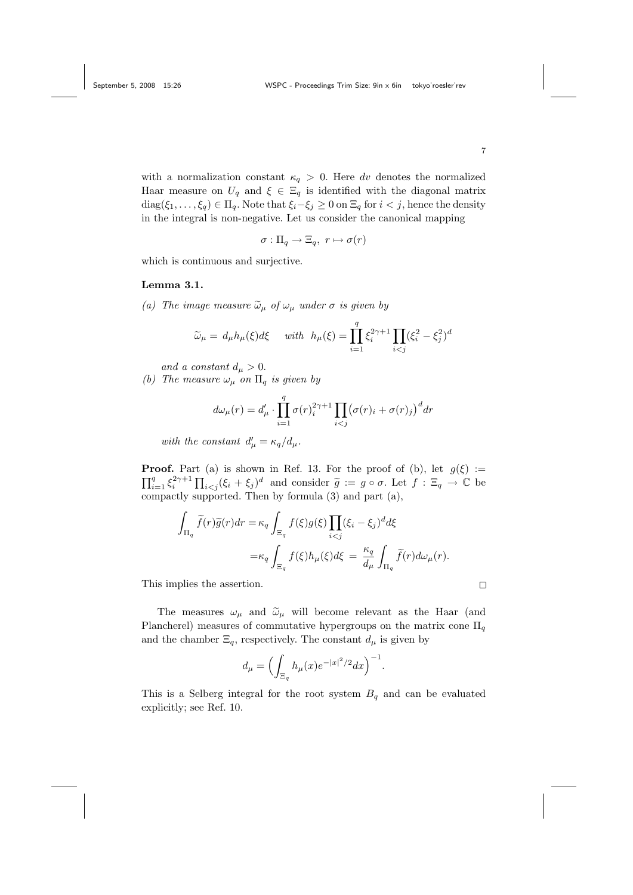with a normalization constant  $\kappa_q > 0$ . Here dv denotes the normalized Haar measure on  $U_q$  and  $\xi \in \Xi_q$  is identified with the diagonal matrix diag( $\xi_1, \ldots, \xi_q$ ) ∈  $\Pi_q$ . Note that  $\xi_i - \xi_j \geq 0$  on  $\Xi_q$  for  $i < j$ , hence the density in the integral is non-negative. Let us consider the canonical mapping

$$
\sigma: \Pi_q \to \Xi_q, \ r \mapsto \sigma(r)
$$

which is continuous and surjective.

### Lemma 3.1.

(a) The image measure  $\tilde{\omega}_{\mu}$  of  $\omega_{\mu}$  under  $\sigma$  is given by

$$
\widetilde{\omega}_{\mu} = d_{\mu}h_{\mu}(\xi)d\xi \quad \text{ with } h_{\mu}(\xi) = \prod_{i=1}^{q} \xi_{i}^{2\gamma+1} \prod_{i < j} (\xi_{i}^{2} - \xi_{j}^{2})^{d}
$$

and a constant  $d_{\mu} > 0$ .

(b) The measure  $\omega_{\mu}$  on  $\Pi_{q}$  is given by

$$
d\omega_{\mu}(r) = d'_{\mu} \cdot \prod_{i=1}^{q} \sigma(r)_{i}^{2\gamma+1} \prod_{i < j} (\sigma(r)_{i} + \sigma(r)_{j})^{d} dr
$$

with the constant  $d'_{\mu} = \kappa_q/d_{\mu}$ .

**Proof.** Part (a) is shown in Ref. 13. For the proof of (b), let  $g(\xi) :=$  $\prod_{i=1}^q \xi_i^{2\gamma+1} \prod_{i < j} (\xi_i + \xi_j)^d$  and consider  $\widetilde{g} := g \circ \sigma$ . Let  $f : \Xi_q \to \mathbb{C}$  be compactly supported. Then by formula (3) and part (a),

$$
\int_{\Pi_q} \widetilde{f}(r)\widetilde{g}(r)dr = \kappa_q \int_{\Xi_q} f(\xi)g(\xi) \prod_{i < j} (\xi_i - \xi_j)^d d\xi
$$
\n
$$
= \kappa_q \int_{\Xi_q} f(\xi)h_\mu(\xi) d\xi = \frac{\kappa_q}{d_\mu} \int_{\Pi_q} \widetilde{f}(r) d\omega_\mu(r).
$$

This implies the assertion.

The measures  $\omega_{\mu}$  and  $\tilde{\omega}_{\mu}$  will become relevant as the Haar (and Plancherel) measures of commutative hypergroups on the matrix cone  $\Pi_q$ and the chamber  $\Xi_q$ , respectively. The constant  $d_\mu$  is given by

$$
d_{\mu} = \Bigl(\int_{\Xi_q} h_{\mu}(x) e^{-|x|^2/2} dx\Bigr)^{-1}.
$$

This is a Selberg integral for the root system  $B<sub>q</sub>$  and can be evaluated explicitly; see Ref. 10.

 $\Box$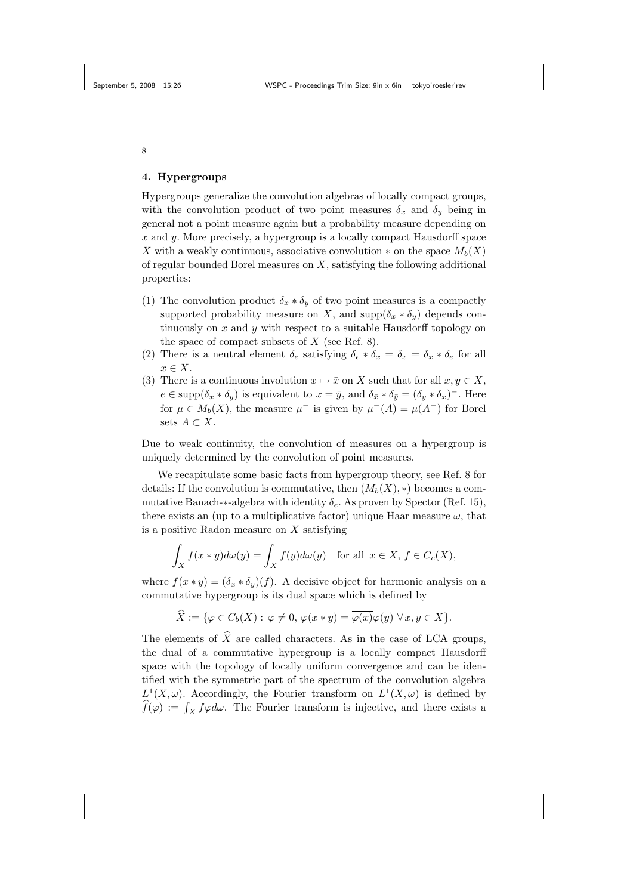#### 4. Hypergroups

Hypergroups generalize the convolution algebras of locally compact groups, with the convolution product of two point measures  $\delta_x$  and  $\delta_y$  being in general not a point measure again but a probability measure depending on  $x$  and  $y$ . More precisely, a hypergroup is a locally compact Hausdorff space X with a weakly continuous, associative convolution  $*$  on the space  $M_b(X)$ of regular bounded Borel measures on  $X$ , satisfying the following additional properties:

- (1) The convolution product  $\delta_x * \delta_y$  of two point measures is a compactly supported probability measure on X, and  $\text{supp}(\delta_x * \delta_y)$  depends continuously on  $x$  and  $y$  with respect to a suitable Hausdorff topology on the space of compact subsets of  $X$  (see Ref. 8).
- (2) There is a neutral element  $\delta_e$  satisfying  $\delta_e * \delta_x = \delta_x * \delta_e$  for all  $x \in X$ .
- (3) There is a continuous involution  $x \mapsto \bar{x}$  on X such that for all  $x, y \in X$ ,  $e \in \text{supp}(\delta_x * \delta_y)$  is equivalent to  $x = \bar{y}$ , and  $\delta_{\bar{x}} * \delta_{\bar{y}} = (\delta_y * \delta_x)^{-}$ . Here for  $\mu \in M_b(X)$ , the measure  $\mu^-$  is given by  $\mu^-(A) = \mu(A^-)$  for Borel sets  $A \subset X$ .

Due to weak continuity, the convolution of measures on a hypergroup is uniquely determined by the convolution of point measures.

We recapitulate some basic facts from hypergroup theory, see Ref. 8 for details: If the convolution is commutative, then  $(M_b(X), *)$  becomes a commutative Banach- $*$ -algebra with identity  $\delta_e$ . As proven by Spector (Ref. 15), there exists an (up to a multiplicative factor) unique Haar measure  $\omega$ , that is a positive Radon measure on  $X$  satisfying

$$
\int_X f(x*y)d\omega(y) = \int_X f(y)d\omega(y) \text{ for all } x \in X, f \in C_c(X),
$$

where  $f(x * y) = (\delta_x * \delta_y)(f)$ . A decisive object for harmonic analysis on a commutative hypergroup is its dual space which is defined by

$$
\widehat{X} := \{ \varphi \in C_b(X) : \varphi \neq 0, \, \varphi(\overline{x} * y) = \overline{\varphi(x)} \varphi(y) \, \forall x, y \in X \}.
$$

The elements of  $\hat{X}$  are called characters. As in the case of LCA groups, the dual of a commutative hypergroup is a locally compact Hausdorff space with the topology of locally uniform convergence and can be identified with the symmetric part of the spectrum of the convolution algebra  $L^1(X, \omega)$ . Accordingly, the Fourier transform on  $L^1(X, \omega)$  is defined by  $f(\varphi) := \int_X f \overline{\varphi} d\omega$ . The Fourier transform is injective, and there exists a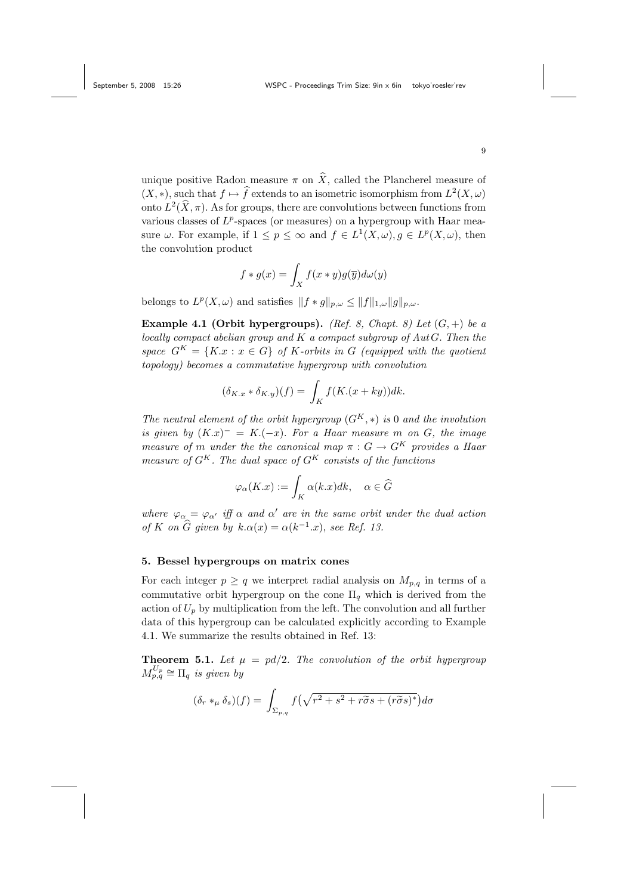unique positive Radon measure  $\pi$  on  $\hat{X}$ , called the Plancherel measure of  $(X, *)$ , such that  $f \mapsto \hat{f}$  extends to an isometric isomorphism from  $L^2(X, \omega)$ onto  $L^2(\hat{X}, \pi)$ . As for groups, there are convolutions between functions from various classes of  $L^p$ -spaces (or measures) on a hypergroup with Haar measure  $\omega$ . For example, if  $1 \leq p \leq \infty$  and  $f \in L^1(X, \omega), g \in L^p(X, \omega)$ , then the convolution product

$$
f * g(x) = \int_X f(x * y)g(\overline{y})d\omega(y)
$$

belongs to  $L^p(X, \omega)$  and satisfies  $|| f * g||_{p,\omega} \leq ||f||_{1,\omega} ||g||_{p,\omega}$ .

Example 4.1 (Orbit hypergroups). (Ref. 8, Chapt. 8) Let  $(G,+)$  be a locally compact abelian group and  $K$  a compact subgroup of  $Aut G$ . Then the space  $G^{K} = \{K.x : x \in G\}$  of K-orbits in G (equipped with the quotient topology) becomes a commutative hypergroup with convolution

$$
(\delta_{K,x} * \delta_{K,y})(f) = \int_K f(K.(x+ky))dk.
$$

The neutral element of the orbit hypergroup  $(G^K, *)$  is 0 and the involution is given by  $(K.x)^{-} = K.(-x)$ . For a Haar measure m on G, the image measure of m under the the canonical map  $\pi: G \to G^K$  provides a Haar measure of  $G^{K}$ . The dual space of  $G^{K}$  consists of the functions

$$
\varphi_{\alpha}(K.x) := \int_{K} \alpha(k.x)dk, \quad \alpha \in \widehat{G}
$$

where  $\varphi_{\alpha} = \varphi_{\alpha'}$  iff  $\alpha$  and  $\alpha'$  are in the same orbit under the dual action of K on  $\widehat{G}$  given by  $k.\alpha(x) = \alpha(k^{-1}.x)$ , see Ref. 13.

# 5. Bessel hypergroups on matrix cones

For each integer  $p \ge q$  we interpret radial analysis on  $M_{p,q}$  in terms of a commutative orbit hypergroup on the cone  $\Pi_q$  which is derived from the action of  $U_p$  by multiplication from the left. The convolution and all further data of this hypergroup can be calculated explicitly according to Example 4.1. We summarize the results obtained in Ref. 13:

**Theorem 5.1.** Let  $\mu = pd/2$ . The convolution of the orbit hypergroup  $M_{p,q}^{U_p} \cong \Pi_q$  is given by

$$
(\delta_r *_\mu \delta_s)(f) = \int_{\Sigma_{p,q}} f\left(\sqrt{r^2 + s^2 + r\tilde{\sigma}s + (r\tilde{\sigma}s)^*}\right) d\sigma
$$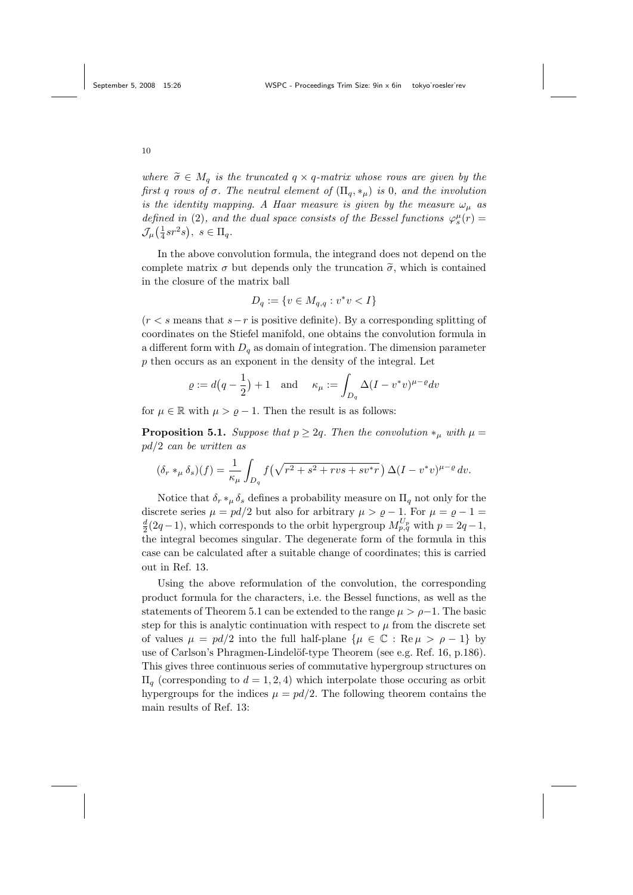where  $\tilde{\sigma} \in M_q$  is the truncated  $q \times q$ -matrix whose rows are given by the first q rows of  $\sigma$ . The neutral element of  $(\Pi_q, *_{\mu})$  is 0, and the involution is the identity mapping. A Haar measure is given by the measure  $\omega_{\mu}$  as defined in (2), and the dual space consists of the Bessel functions  $\varphi_s^{\mu}(r) =$  $\mathcal{J}_{\mu}(\frac{1}{4}sr^2s), s \in \Pi_q.$ 

In the above convolution formula, the integrand does not depend on the complete matrix  $\sigma$  but depends only the truncation  $\tilde{\sigma}$ , which is contained in the closure of the matrix ball

$$
D_q := \{ v \in M_{q,q} : v^*v < I \}
$$

 $(r < s$  means that  $s-r$  is positive definite). By a corresponding splitting of coordinates on the Stiefel manifold, one obtains the convolution formula in a different form with  $D_q$  as domain of integration. The dimension parameter p then occurs as an exponent in the density of the integral. Let

$$
\varrho := d\left(q - \frac{1}{2}\right) + 1 \quad \text{and} \quad \kappa_{\mu} := \int_{D_q} \Delta (I - v^*v)^{\mu - \varrho} dv
$$

for  $\mu \in \mathbb{R}$  with  $\mu > \varrho - 1$ . Then the result is as follows:

**Proposition 5.1.** Suppose that  $p \geq 2q$ . Then the convolution  $*_\mu$  with  $\mu =$ pd/2 can be written as

$$
(\delta_r *_\mu \delta_s)(f) = \frac{1}{\kappa_\mu} \int_{D_q} f\left(\sqrt{r^2 + s^2 + rvs + sv^*r}\right) \Delta (I - v^*v)^{\mu - \varrho} dv.
$$

Notice that  $\delta_r *_{\mu} \delta_s$  defines a probability measure on  $\Pi_q$  not only for the discrete series  $\mu = pd/2$  but also for arbitrary  $\mu > \varrho - 1$ . For  $\mu = \varrho - 1 =$  $\frac{d}{2}(2q-1)$ , which corresponds to the orbit hypergroup  $M_{p,q}^{U_p}$  with  $p=2q-1$ , the integral becomes singular. The degenerate form of the formula in this case can be calculated after a suitable change of coordinates; this is carried out in Ref. 13.

Using the above reformulation of the convolution, the corresponding product formula for the characters, i.e. the Bessel functions, as well as the statements of Theorem 5.1 can be extended to the range  $\mu > \rho - 1$ . The basic step for this is analytic continuation with respect to  $\mu$  from the discrete set of values  $\mu = pd/2$  into the full half-plane  $\{\mu \in \mathbb{C} : \text{Re}\,\mu > \rho - 1\}$  by use of Carlson's Phragmen-Lindelöf-type Theorem (see e.g. Ref. 16, p.186). This gives three continuous series of commutative hypergroup structures on  $\Pi_q$  (corresponding to  $d = 1, 2, 4$ ) which interpolate those occuring as orbit hypergroups for the indices  $\mu = pd/2$ . The following theorem contains the main results of Ref. 13: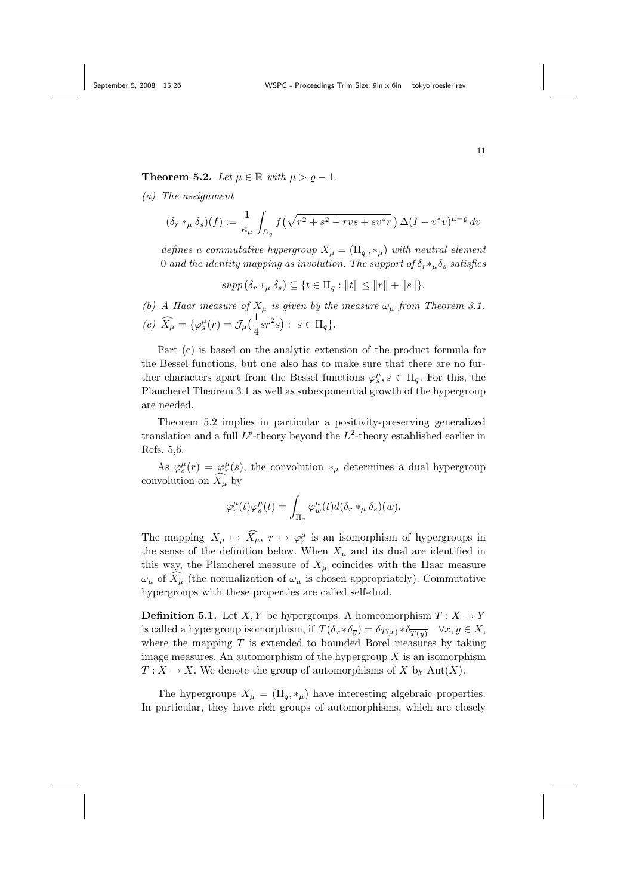Theorem 5.2. Let  $\mu \in \mathbb{R}$  with  $\mu > \varrho - 1$ .

(a) The assignment

$$
(\delta_r *_\mu \delta_s)(f) := \frac{1}{\kappa_\mu} \int_{D_q} f\left(\sqrt{r^2 + s^2 + rvs + sv^*r}\right) \Delta (I - v^*v)^{\mu - \varrho} dv
$$

defines a commutative hypergroup  $X_{\mu} = (\Pi_q, *_{\mu})$  with neutral element 0 and the identity mapping as involution. The support of  $\delta_r *_\mu \delta_s$  satisfies

$$
supp (\delta_r *_\mu \delta_s) \subseteq \{ t \in \Pi_q : ||t|| \le ||r|| + ||s|| \}.
$$

(b) A Haar measure of  $X_\mu$  is given by the measure  $\omega_\mu$  from Theorem 3.1. (c)  $\widehat{X}_{\mu} = {\varphi_s^{\mu}(r) = \mathcal{J}_{\mu}(\frac{1}{4}sr^2s) : s \in \Pi_q}.$ 

Part (c) is based on the analytic extension of the product formula for the Bessel functions, but one also has to make sure that there are no further characters apart from the Bessel functions  $\varphi_s^{\mu}, s \in \Pi_q$ . For this, the Plancherel Theorem 3.1 as well as subexponential growth of the hypergroup are needed.

Theorem 5.2 implies in particular a positivity-preserving generalized translation and a full  $L^p$ -theory beyond the  $L^2$ -theory established earlier in Refs. 5,6.

As  $\varphi_s^{\mu}(r) = \varphi_r^{\mu}(s)$ , the convolution  $*_\mu$  determines a dual hypergroup convolution on  $\widehat{X}_{\mu}$  by

$$
\varphi_r^{\mu}(t)\varphi_s^{\mu}(t) = \int_{\Pi_q} \varphi_w^{\mu}(t) d(\delta_r *_\mu \delta_s)(w).
$$

The mapping  $X_{\mu} \mapsto \widehat{X}_{\mu}, r \mapsto \varphi_r^{\mu}$  is an isomorphism of hypergroups in the sense of the definition below. When  $X_\mu$  and its dual are identified in this way, the Plancherel measure of  $X_\mu$  coincides with the Haar measure  $\omega_{\mu}$  of  $\widetilde{X}_{\mu}$  (the normalization of  $\omega_{\mu}$  is chosen appropriately). Commutative hypergroups with these properties are called self-dual.

**Definition 5.1.** Let  $X, Y$  be hypergroups. A homeomorphism  $T: X \to Y$ is called a hypergroup isomorphism, if  $T(\delta_x * \delta_{\overline{y}}) = \delta_{T(x)} * \delta_{\overline{T(y)}} \quad \forall x, y \in X$ , where the mapping  $T$  is extended to bounded Borel measures by taking image measures. An automorphism of the hypergroup  $X$  is an isomorphism  $T: X \to X$ . We denote the group of automorphisms of X by Aut $(X)$ .

The hypergroups  $X_{\mu} = (\Pi_q, *_{\mu})$  have interesting algebraic properties. In particular, they have rich groups of automorphisms, which are closely

11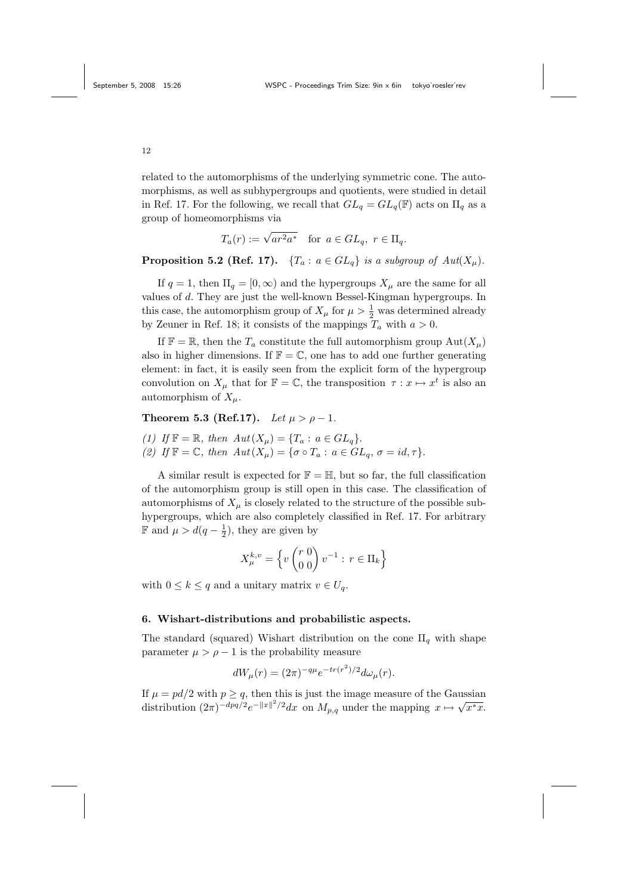related to the automorphisms of the underlying symmetric cone. The automorphisms, as well as subhypergroups and quotients, were studied in detail in Ref. 17. For the following, we recall that  $GL_q = GL_q(\mathbb{F})$  acts on  $\Pi_q$  as a

group of homeomorphisms via

$$
T_a(r) := \sqrt{ar^2 a^*} \quad \text{for } a \in GL_q, \ r \in \Pi_q.
$$

**Proposition 5.2 (Ref. 17).**  $\{T_a : a \in GL_q\}$  is a subgroup of  $Aut(X_\mu)$ .

If  $q = 1$ , then  $\Pi_q = [0, \infty)$  and the hypergroups  $X_\mu$  are the same for all values of d. They are just the well-known Bessel-Kingman hypergroups. In this case, the automorphism group of  $X_{\mu}$  for  $\mu > \frac{1}{2}$  was determined already by Zeuner in Ref. 18; it consists of the mappings  $T_a$  with  $a > 0$ .

If  $\mathbb{F} = \mathbb{R}$ , then the  $T_a$  constitute the full automorphism group  $\text{Aut}(X_\mu)$ also in higher dimensions. If  $\mathbb{F} = \mathbb{C}$ , one has to add one further generating element: in fact, it is easily seen from the explicit form of the hypergroup convolution on  $X_\mu$  that for  $\mathbb{F} = \mathbb{C}$ , the transposition  $\tau : x \mapsto x^t$  is also an automorphism of  $X_\mu$ .

# Theorem 5.3 (Ref.17). Let  $\mu > \rho - 1$ .

(1) If  $\mathbb{F} = \mathbb{R}$ , then  $Aut(X_{\mu}) = \{T_a : a \in GL_q\}.$ (2) If  $\mathbb{F} = \mathbb{C}$ , then  $Aut(X_{\mu}) = \{ \sigma \circ T_a : a \in GL_a, \sigma = id, \tau \}.$ 

A similar result is expected for  $\mathbb{F} = \mathbb{H}$ , but so far, the full classification of the automorphism group is still open in this case. The classification of automorphisms of  $X_\mu$  is closely related to the structure of the possible subhypergroups, which are also completely classified in Ref. 17. For arbitrary  $\mathbb{F}$  and  $\mu > d(q - \frac{1}{2})$ , they are given by

$$
X_{\mu}^{k,v} = \left\{ v \begin{pmatrix} r & 0 \\ 0 & 0 \end{pmatrix} v^{-1} : r \in \Pi_k \right\}
$$

with  $0 \leq k \leq q$  and a unitary matrix  $v \in U_q$ .

#### 6. Wishart-distributions and probabilistic aspects.

The standard (squared) Wishart distribution on the cone  $\Pi_a$  with shape parameter  $\mu > \rho - 1$  is the probability measure

$$
dW_{\mu}(r) = (2\pi)^{-q\mu} e^{-tr(r^2)/2} d\omega_{\mu}(r).
$$

If  $\mu = pd/2$  with  $p \geq q$ , then this is just the image measure of the Gaussian distribution  $(2\pi)^{-dpq/2}e^{-\|x\|^2/2}dx$  on  $M_{p,q}$  under the mapping  $x \mapsto \sqrt{x^*x}$ .

12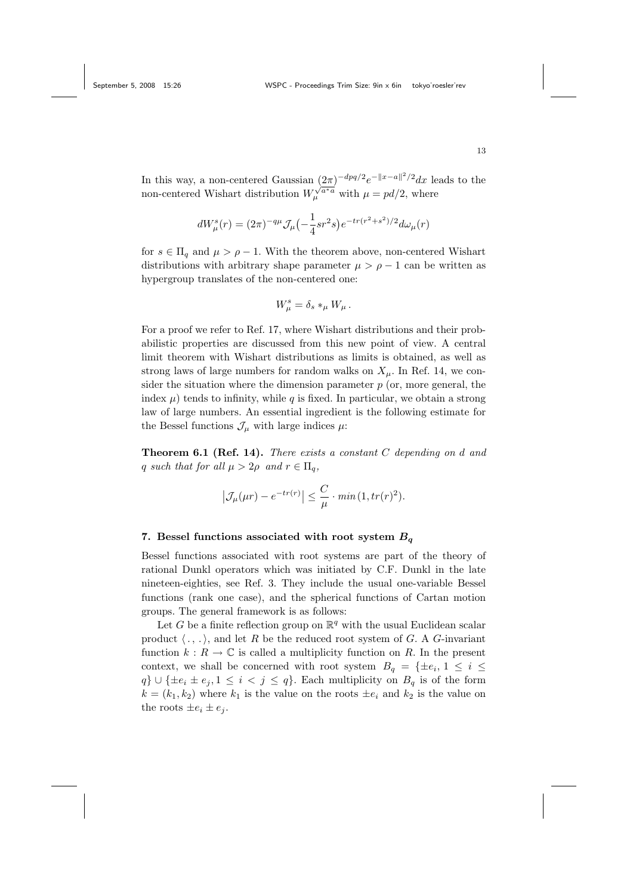In this way, a non-centered Gaussian  $(2\pi)^{-dpq/2}e^{-||x-a||^2/2}dx$  leads to the non-centered Wishart distribution  $W_{\mu}^{\sqrt{a^*a}}$  with  $\mu = pd/2$ , where

$$
dW_{\mu}^{s}(r) = (2\pi)^{-q\mu} \mathcal{J}_{\mu}(-\frac{1}{4}sr^{2}s)e^{-tr(r^{2}+s^{2})/2}d\omega_{\mu}(r)
$$

for  $s \in \Pi_q$  and  $\mu > \rho - 1$ . With the theorem above, non-centered Wishart distributions with arbitrary shape parameter  $\mu > \rho - 1$  can be written as hypergroup translates of the non-centered one:

$$
W_{\mu}^{s} = \delta_{s} *_{\mu} W_{\mu}.
$$

For a proof we refer to Ref. 17, where Wishart distributions and their probabilistic properties are discussed from this new point of view. A central limit theorem with Wishart distributions as limits is obtained, as well as strong laws of large numbers for random walks on  $X_\mu$ . In Ref. 14, we consider the situation where the dimension parameter  $p$  (or, more general, the index  $\mu$ ) tends to infinity, while q is fixed. In particular, we obtain a strong law of large numbers. An essential ingredient is the following estimate for the Bessel functions  $\mathcal{J}_{\mu}$  with large indices  $\mu$ :

**Theorem 6.1 (Ref. 14).** There exists a constant  $C$  depending on  $d$  and q such that for all  $\mu > 2\rho$  and  $r \in \Pi_q$ ,

$$
\left|\mathcal{J}_{\mu}(\mu r) - e^{-tr(r)}\right| \leq \frac{C}{\mu} \cdot \min(1, tr(r)^2).
$$

## 7. Bessel functions associated with root system  $B_q$

Bessel functions associated with root systems are part of the theory of rational Dunkl operators which was initiated by C.F. Dunkl in the late nineteen-eighties, see Ref. 3. They include the usual one-variable Bessel functions (rank one case), and the spherical functions of Cartan motion groups. The general framework is as follows:

Let G be a finite reflection group on  $\mathbb{R}^q$  with the usual Euclidean scalar product  $\langle \cdot, \cdot \rangle$ , and let R be the reduced root system of G. A G-invariant function  $k : R \to \mathbb{C}$  is called a multiplicity function on R. In the present context, we shall be concerned with root system  $B_q = \{\pm e_i, 1 \leq i \leq$  $q\} \cup {\pm\epsilon_i \pm \epsilon_j, 1 \leq i \leq j \leq q}.$  Each multiplicity on  $B_q$  is of the form  $k = (k_1, k_2)$  where  $k_1$  is the value on the roots  $\pm e_i$  and  $k_2$  is the value on the roots  $\pm e_i \pm e_j$ .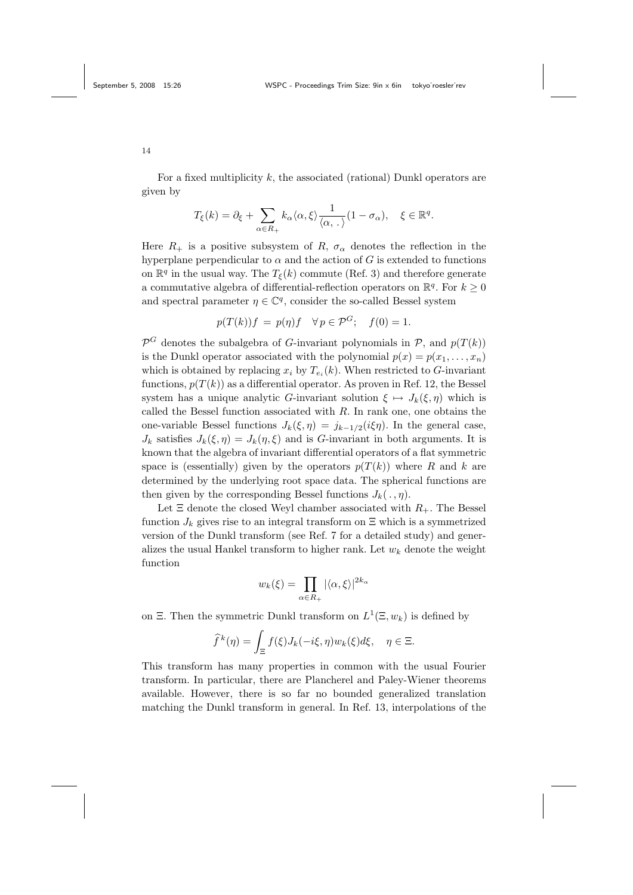For a fixed multiplicity  $k$ , the associated (rational) Dunkl operators are given by

$$
T_{\xi}(k) = \partial_{\xi} + \sum_{\alpha \in R_+} k_{\alpha} \langle \alpha, \xi \rangle \frac{1}{\langle \alpha, . \rangle} (1 - \sigma_{\alpha}), \quad \xi \in \mathbb{R}^q.
$$

Here  $R_+$  is a positive subsystem of R,  $\sigma_\alpha$  denotes the reflection in the hyperplane perpendicular to  $\alpha$  and the action of  $G$  is extended to functions on  $\mathbb{R}^q$  in the usual way. The  $T_{\xi}(k)$  commute (Ref. 3) and therefore generate a commutative algebra of differential-reflection operators on  $\mathbb{R}^q$ . For  $k \geq 0$ and spectral parameter  $\eta \in \mathbb{C}^q$ , consider the so-called Bessel system

$$
p(T(k))f = p(\eta)f \quad \forall \, p \in \mathcal{P}^G; \quad f(0) = 1.
$$

 $\mathcal{P}^G$  denotes the subalgebra of G-invariant polynomials in  $\mathcal{P}$ , and  $p(T(k))$ is the Dunkl operator associated with the polynomial  $p(x) = p(x_1, \ldots, x_n)$ which is obtained by replacing  $x_i$  by  $T_{e_i}(k)$ . When restricted to G-invariant functions,  $p(T(k))$  as a differential operator. As proven in Ref. 12, the Bessel system has a unique analytic G-invariant solution  $\xi \mapsto J_k(\xi, \eta)$  which is called the Bessel function associated with  $R$ . In rank one, one obtains the one-variable Bessel functions  $J_k(\xi, \eta) = j_{k-1/2}(i\xi\eta)$ . In the general case,  $J_k$  satisfies  $J_k(\xi, \eta) = J_k(\eta, \xi)$  and is G-invariant in both arguments. It is known that the algebra of invariant differential operators of a flat symmetric space is (essentially) given by the operators  $p(T(k))$  where R and k are determined by the underlying root space data. The spherical functions are then given by the corresponding Bessel functions  $J_k(., \eta)$ .

Let  $\Xi$  denote the closed Weyl chamber associated with  $R_+$ . The Bessel function  $J_k$  gives rise to an integral transform on  $\Xi$  which is a symmetrized version of the Dunkl transform (see Ref. 7 for a detailed study) and generalizes the usual Hankel transform to higher rank. Let  $w_k$  denote the weight function

$$
w_k(\xi) = \prod_{\alpha \in R_+} |\langle \alpha, \xi \rangle|^{2k_{\alpha}}
$$

on  $\Xi$ . Then the symmetric Dunkl transform on  $L^1(\Xi, w_k)$  is defined by

$$
\widehat{f}^k(\eta) = \int_{\Xi} f(\xi) J_k(-i\xi, \eta) w_k(\xi) d\xi, \quad \eta \in \Xi.
$$

This transform has many properties in common with the usual Fourier transform. In particular, there are Plancherel and Paley-Wiener theorems available. However, there is so far no bounded generalized translation matching the Dunkl transform in general. In Ref. 13, interpolations of the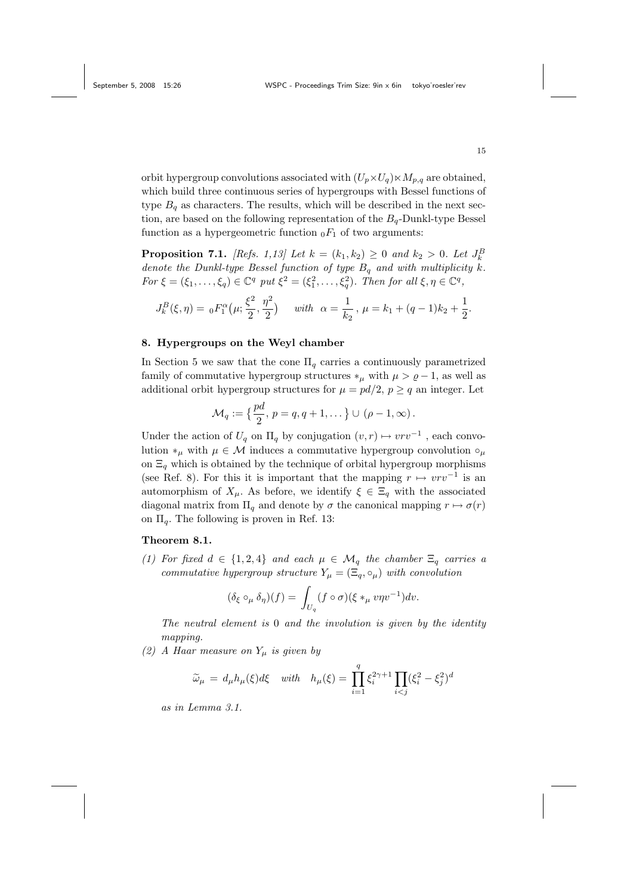orbit hypergroup convolutions associated with  $(U_p \times U_q) \times M_{p,q}$  are obtained, which build three continuous series of hypergroups with Bessel functions of type  $B<sub>a</sub>$  as characters. The results, which will be described in the next section, are based on the following representation of the  $B_q$ -Dunkl-type Bessel function as a hypergeometric function  $_0F_1$  of two arguments:

**Proposition 7.1.** [Refs. 1,13] Let  $k = (k_1, k_2) \ge 0$  and  $k_2 > 0$ . Let  $J_k^B$ denote the Dunkl-type Bessel function of type  $B_q$  and with multiplicity k. For  $\xi = (\xi_1, \ldots, \xi_q) \in \mathbb{C}^q$  put  $\xi^2 = (\xi_1^2, \ldots, \xi_q^2)$ . Then for all  $\xi, \eta \in \mathbb{C}^q$ ,

$$
J_k^B(\xi, \eta) = {}_0F_1^{\alpha}(\mu; \frac{\xi^2}{2}, \frac{\eta^2}{2}) \quad \text{ with } \alpha = \frac{1}{k_2}, \mu = k_1 + (q-1)k_2 + \frac{1}{2}.
$$

# 8. Hypergroups on the Weyl chamber

In Section 5 we saw that the cone  $\Pi_q$  carries a continuously parametrized family of commutative hypergroup structures  $*_\mu$  with  $\mu > \varrho - 1$ , as well as additional orbit hypergroup structures for  $\mu = pd/2$ ,  $p \geq q$  an integer. Let

$$
\mathcal{M}_q := \left\{ \frac{pd}{2}, \, p = q, q+1, \dots \right\} \cup (\rho - 1, \infty).
$$

Under the action of  $U_q$  on  $\Pi_q$  by conjugation  $(v, r) \mapsto vrv^{-1}$ , each convolution ∗<sub>µ</sub> with  $\mu \in \mathcal{M}$  induces a commutative hypergroup convolution  $\circ_{\mu}$ on  $\Xi_q$  which is obtained by the technique of orbital hypergroup morphisms (see Ref. 8). For this it is important that the mapping  $r \mapsto vrv^{-1}$  is an automorphism of  $X_\mu$ . As before, we identify  $\xi \in \Xi_q$  with the associated diagonal matrix from  $\Pi_q$  and denote by  $\sigma$  the canonical mapping  $r \mapsto \sigma(r)$ on  $\Pi_q$ . The following is proven in Ref. 13:

## Theorem 8.1.

(1) For fixed  $d \in \{1,2,4\}$  and each  $\mu \in \mathcal{M}_q$  the chamber  $\Xi_q$  carries a commutative hypergroup structure  $Y_{\mu} = (\Xi_q, \circ_{\mu})$  with convolution

$$
(\delta_{\xi} \circ_{\mu} \delta_{\eta})(f) = \int_{U_q} (f \circ \sigma)(\xi *_{\mu} v \eta v^{-1}) dv.
$$

The neutral element is 0 and the involution is given by the identity mapping.

(2) A Haar measure on  $Y_\mu$  is given by

$$
\widetilde{\omega}_{\mu} = d_{\mu} h_{\mu}(\xi) d\xi \quad with \quad h_{\mu}(\xi) = \prod_{i=1}^{q} \xi_i^{2\gamma+1} \prod_{i < j} (\xi_i^2 - \xi_j^2)^d
$$

as in Lemma 3.1.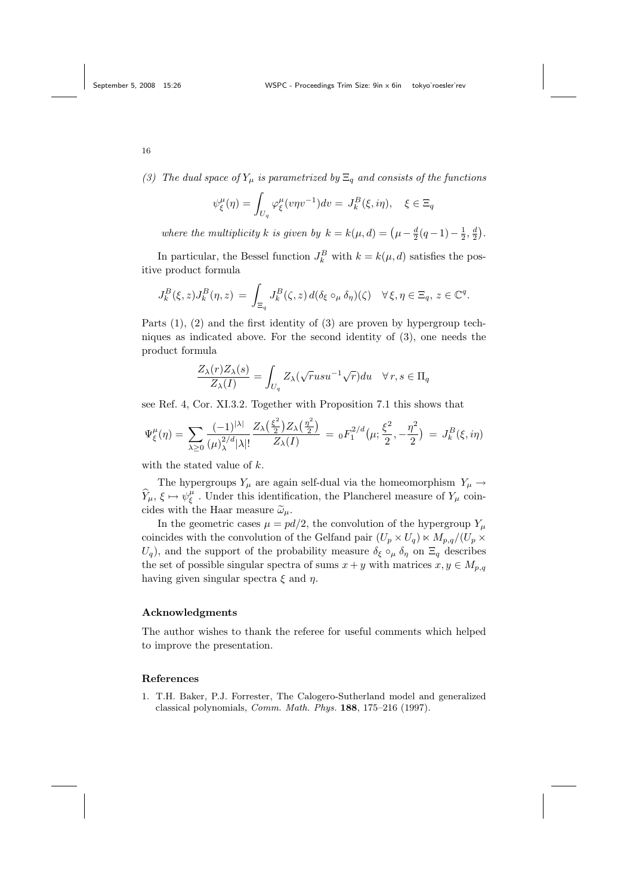(3) The dual space of  $Y_\mu$  is parametrized by  $\Xi_q$  and consists of the functions

$$
\psi_{\xi}^{\mu}(\eta) = \int_{U_q} \varphi_{\xi}^{\mu}(v\eta v^{-1}) dv = J_k^B(\xi, i\eta), \quad \xi \in \Xi_q
$$

where the multiplicity k is given by  $k = k(\mu, d) = (\mu - \frac{d}{2}(q-1) - \frac{1}{2}, \frac{d}{2})$ .

In particular, the Bessel function  $J_k^B$  with  $k = k(\mu, d)$  satisfies the positive product formula

$$
J_k^B(\xi, z) J_k^B(\eta, z) = \int_{\Xi_q} J_k^B(\zeta, z) d(\delta_\xi \circ_\mu \delta_\eta)(\zeta) \quad \forall \xi, \eta \in \Xi_q, \, z \in \mathbb{C}^q.
$$

Parts  $(1)$ ,  $(2)$  and the first identity of  $(3)$  are proven by hypergroup techniques as indicated above. For the second identity of (3), one needs the product formula

$$
\frac{Z_{\lambda}(r)Z_{\lambda}(s)}{Z_{\lambda}(I)} = \int_{U_q} Z_{\lambda}(\sqrt{r}usu^{-1}\sqrt{r})du \quad \forall r, s \in \Pi_q
$$

see Ref. 4, Cor. XI.3.2. Together with Proposition 7.1 this shows that

$$
\Psi_{\xi}^{\mu}(\eta) = \sum_{\lambda \geq 0} \frac{(-1)^{|\lambda|}}{(\mu)_{\lambda}^{2/d} |\lambda|!} \frac{Z_{\lambda}\left(\frac{\xi^{2}}{2}\right) Z_{\lambda}\left(\frac{\eta^{2}}{2}\right)}{Z_{\lambda}(I)} = {}_{0}F_{1}^{2/d}(\mu; \frac{\xi^{2}}{2}, -\frac{\eta^{2}}{2}) = J_{k}^{B}(\xi, i\eta)
$$

with the stated value of k.

The hypergroups  $Y_\mu$  are again self-dual via the homeomorphism  $\,Y_\mu\to\,$  $\widehat{Y}_{\mu}, \xi \mapsto \psi_{\xi}^{\mu}$ . Under this identification, the Plancherel measure of  $Y_{\mu}$  coincides with the Haar measure  $\tilde{\omega}_{\mu}$ .

In the geometric cases  $\mu = pd/2$ , the convolution of the hypergroup  $Y_\mu$ coincides with the convolution of the Gelfand pair  $(U_p \times U_q) \ltimes M_{p,q}/(U_p \times$  $U_q$ , and the support of the probability measure  $\delta_{\xi} \circ_{\mu} \delta_{\eta}$  on  $\Xi_q$  describes the set of possible singular spectra of sums  $x + y$  with matrices  $x, y \in M_{p,q}$ having given singular spectra  $\xi$  and  $\eta$ .

## Acknowledgments

The author wishes to thank the referee for useful comments which helped to improve the presentation.

#### References

1. T.H. Baker, P.J. Forrester, The Calogero-Sutherland model and generalized classical polynomials, Comm. Math. Phys. 188, 175–216 (1997).